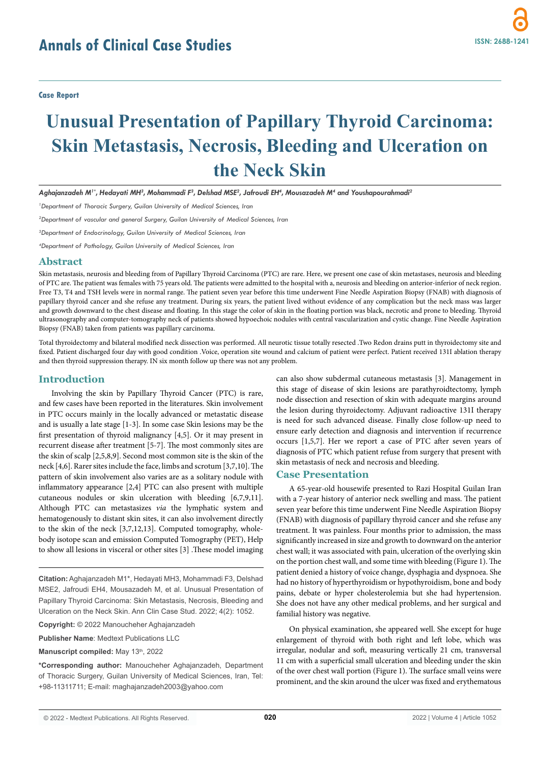# **Unusual Presentation of Papillary Thyroid Carcinoma: Skin Metastasis, Necrosis, Bleeding and Ulceration on the Neck Skin**

*Aghajanzadeh M1\*, Hedayati MH3 , Mohammadi F3 , Delshad MSE2 , Jafroudi EH4 , Mousazadeh M4 and Youshapourahmadi2*

<sup>1</sup> Department of Thoracic Surgery, Guilan University of Medical Sciences, Iran

*2 Department of vascular and general Surgery, Guilan University of Medical Sciences, Iran* 

*3 Department of Endocrinology, Guilan University of Medical Sciences, Iran*

*4 Department of Pathology, Guilan University of Medical Sciences, Iran*

#### **Abstract**

Skin metastasis, neurosis and bleeding from of Papillary Thyroid Carcinoma (PTC) are rare. Here, we present one case of skin metastases, neurosis and bleeding of PTC are. The patient was females with 75 years old. The patients were admitted to the hospital with a, neurosis and bleeding on anterior-inferior of neck region. Free T3, T4 and TSH levels were in normal range. The patient seven year before this time underwent Fine Needle Aspiration Biopsy (FNAB) with diagnosis of papillary thyroid cancer and she refuse any treatment. During six years, the patient lived without evidence of any complication but the neck mass was larger and growth downward to the chest disease and floating. In this stage the color of skin in the floating portion was black, necrotic and prone to bleeding. Thyroid ultrasonography and computer-tomography neck of patients showed hypoechoic nodules with central vascularization and cystic change. Fine Needle Aspiration Biopsy (FNAB) taken from patients was papillary carcinoma.

Total thyroidectomy and bilateral modified neck dissection was performed. All neurotic tissue totally resected .Two Redon drains putt in thyroidectomy site and fixed. Patient discharged four day with good condition .Voice, operation site wound and calcium of patient were perfect. Patient received 131I ablation therapy and then thyroid suppression therapy. IN six month follow up there was not any problem.

### **Introduction**

Involving the skin by Papillary Thyroid Cancer (PTC) is rare, and few cases have been reported in the literatures. Skin involvement in PTC occurs mainly in the locally advanced or metastatic disease and is usually a late stage [1-3]. In some case Skin lesions may be the first presentation of thyroid malignancy [4,5]. Or it may present in recurrent disease after treatment [5-7]. The most commonly sites are the skin of scalp [2,5,8,9]. Second most common site is the skin of the neck [4,6]. Rarer sites include the face, limbs and scrotum [3,7,10]. The pattern of skin involvement also varies are as a solitary nodule with inflammatory appearance [2,4] PTC can also present with multiple cutaneous nodules or skin ulceration with bleeding [6,7,9,11]. Although PTC can metastasizes *via* the lymphatic system and hematogenously to distant skin sites, it can also involvement directly to the skin of the neck [3,7,12,13]. Computed tomography, wholebody isotope scan and emission Computed Tomography (PET), Help to show all lesions in visceral or other sites [3] .These model imaging

**Citation:** Aghajanzadeh M1\*, Hedayati MH3, Mohammadi F3, Delshad MSE2, Jafroudi EH4, Mousazadeh M, et al. Unusual Presentation of Papillary Thyroid Carcinoma: Skin Metastasis, Necrosis, Bleeding and Ulceration on the Neck Skin. Ann Clin Case Stud. 2022; 4(2): 1052.

**Copyright:** © 2022 Manoucheher Aghajanzadeh

**Publisher Name**: Medtext Publications LLC

**Manuscript compiled:** May 13th, 2022

**\*Corresponding author:** Manoucheher Aghajanzadeh, Department of Thoracic Surgery, Guilan University of Medical Sciences, Iran, Tel: +98-11311711; E-mail: maghajanzadeh2003@yahoo.com

can also show subdermal cutaneous metastasis [3]. Management in this stage of disease of skin lesions are parathyroidtectomy, lymph node dissection and resection of skin with adequate margins around the lesion during thyroidectomy. Adjuvant radioactive 131I therapy is need for such advanced disease. Finally close follow-up need to ensure early detection and diagnosis and intervention if recurrence occurs [1,5,7]. Her we report a case of PTC after seven years of diagnosis of PTC which patient refuse from surgery that present with skin metastasis of neck and necrosis and bleeding.

# **Case Presentation**

A 65-year-old housewife presented to Razi Hospital Guilan Iran with a 7-year history of anterior neck swelling and mass. The patient seven year before this time underwent Fine Needle Aspiration Biopsy (FNAB) with diagnosis of papillary thyroid cancer and she refuse any treatment. It was painless. Four months prior to admission, the mass significantly increased in size and growth to downward on the anterior chest wall; it was associated with pain, ulceration of the overlying skin on the portion chest wall, and some time with bleeding (Figure 1). The patient denied a history of voice change, dysphagia and dyspnoea. She had no history of hyperthyroidism or hypothyroidism, bone and body pains, debate or hyper cholesterolemia but she had hypertension. She does not have any other medical problems, and her surgical and familial history was negative.

On physical examination, she appeared well. She except for huge enlargement of thyroid with both right and left lobe, which was irregular, nodular and soft, measuring vertically 21 cm, transversal 11 cm with a superficial small ulceration and bleeding under the skin of the over chest wall portion (Figure 1). The surface small veins were prominent, and the skin around the ulcer was fixed and erythematous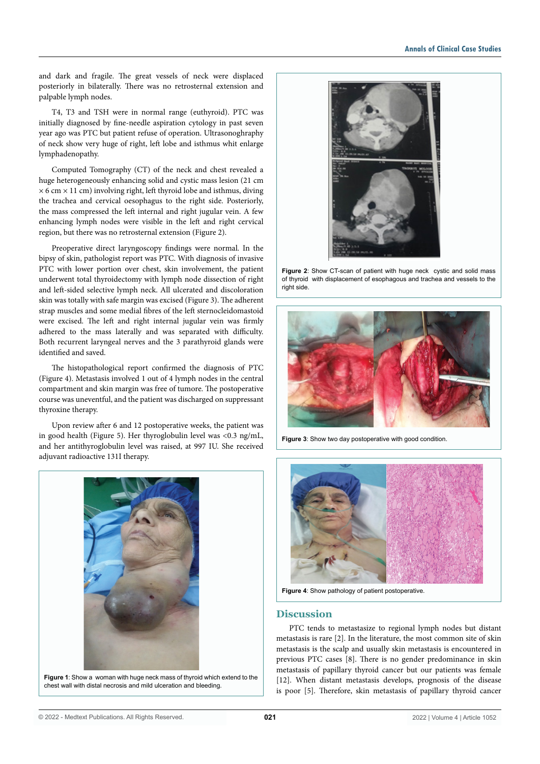and dark and fragile. The great vessels of neck were displaced posteriorly in bilaterally. There was no retrosternal extension and palpable lymph nodes.

T4, T3 and TSH were in normal range (euthyroid). PTC was initially diagnosed by fine-needle aspiration cytology in past seven year ago was PTC but patient refuse of operation. Ultrasonoghraphy of neck show very huge of right, left lobe and isthmus whit enlarge lymphadenopathy.

Computed Tomography (CT) of the neck and chest revealed a huge heterogeneously enhancing solid and cystic mass lesion (21 cm  $\times$  6 cm  $\times$  11 cm) involving right, left thyroid lobe and isthmus, diving the trachea and cervical oesophagus to the right side. Posteriorly, the mass compressed the left internal and right jugular vein. A few enhancing lymph nodes were visible in the left and right cervical region, but there was no retrosternal extension (Figure 2).

Preoperative direct laryngoscopy findings were normal. In the bipsy of skin, pathologist report was PTC. With diagnosis of invasive PTC with lower portion over chest, skin involvement, the patient underwent total thyroidectomy with lymph node dissection of right and left-sided selective lymph neck. All ulcerated and discoloration skin was totally with safe margin was excised (Figure 3). The adherent strap muscles and some medial fibres of the left sternocleidomastoid were excised. The left and right internal jugular vein was firmly adhered to the mass laterally and was separated with difficulty. Both recurrent laryngeal nerves and the 3 parathyroid glands were identified and saved.

The histopathological report confirmed the diagnosis of PTC (Figure 4). Metastasis involved 1 out of 4 lymph nodes in the central compartment and skin margin was free of tumore. The postoperative course was uneventful, and the patient was discharged on suppressant thyroxine therapy.

Upon review after 6 and 12 postoperative weeks, the patient was in good health (Figure 5). Her thyroglobulin level was <0.3 ng/mL, and her antithyroglobulin level was raised, at 997 IU. She received adjuvant radioactive 131I therapy.



**Figure 1**: Show a woman with huge neck mass of thyroid which extend to the chest wall with distal necrosis and mild ulceration and bleeding.



**Figure 2**: Show CT-scan of patient with huge neck cystic and solid mass of thyroid with displacement of esophagous and trachea and vessels to the right side.



**Figure 3:** Show two day postoperative with good condition.



**Figure 4**: Show pathology of patient postoperative.

# **Discussion**

PTC tends to metastasize to regional lymph nodes but distant metastasis is rare [2]. In the literature, the most common site of skin metastasis is the scalp and usually skin metastasis is encountered in previous PTC cases [8]. There is no gender predominance in skin metastasis of papillary thyroid cancer but our patients was female [12]. When distant metastasis develops, prognosis of the disease is poor [5]. Therefore, skin metastasis of papillary thyroid cancer